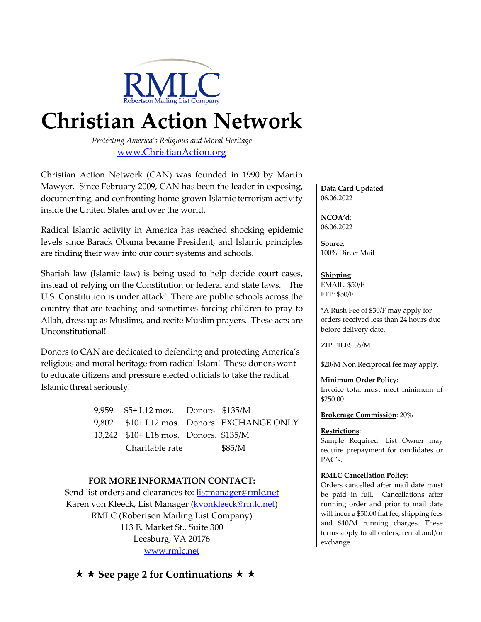

# **Christian Action Network**

*Protecting America's Religious and Moral Heritage* www.ChristianAction.org

Christian Action Network (CAN) was founded in 1990 by Martin Mawyer. Since February 2009, CAN has been the leader in exposing, documenting, and confronting home-grown Islamic terrorism activity inside the United States and over the world.

Radical Islamic activity in America has reached shocking epidemic levels since Barack Obama became President, and Islamic principles are finding their way into our court systems and schools.

Shariah law (Islamic law) is being used to help decide court cases, instead of relying on the Constitution or federal and state laws. The U.S. Constitution is under attack! There are public schools across the country that are teaching and sometimes forcing children to pray to Allah, dress up as Muslims, and recite Muslim prayers. These acts are Unconstitutional!

Donors to CAN are dedicated to defending and protecting America's religious and moral heritage from radical Islam! These donors want to educate citizens and pressure elected officials to take the radical Islamic threat seriously!

> 9,959 \$5+ L12 mos. Donors \$135/M 9,802 \$10+ L12 mos. Donors EXCHANGE ONLY 13,242 \$10+ L18 mos. Donors. \$135/M Charitable rate \$85/M

### **FOR MORE INFORMATION CONTACT:**

Send list orders and clearances to: listmanager@rmlc.net Karen von Kleeck, List Manager (kvonkleeck@rmlc.net) RMLC (Robertson Mailing List Company) 113 E. Market St., Suite 300 Leesburg, VA 20176 www.rmlc.net

### **★ ★ See page 2 for Continuations ★ ★**

**Data Card Updated**: 06.06.2022

**NCOA'd**: 06.06.2022

**Source**: 100% Direct Mail

**Shipping**: EMAIL: \$50/F FTP: \$50/F

\*A Rush Fee of \$30/F may apply for orders received less than 24 hours due before delivery date.

ZIP FILES \$5/M

\$20/M Non Reciprocal fee may apply.

#### **Minimum Order Policy**:

Invoice total must meet minimum of \$250.00

**Brokerage Commission**: 20%

#### **Restrictions**:

Sample Required. List Owner may require prepayment for candidates or PAC's.

#### **RMLC Cancellation Policy**:

Orders cancelled after mail date must be paid in full. Cancellations after running order and prior to mail date will incur a \$50.00 flat fee, shipping fees and \$10/M running charges. These terms apply to all orders, rental and/or exchange.